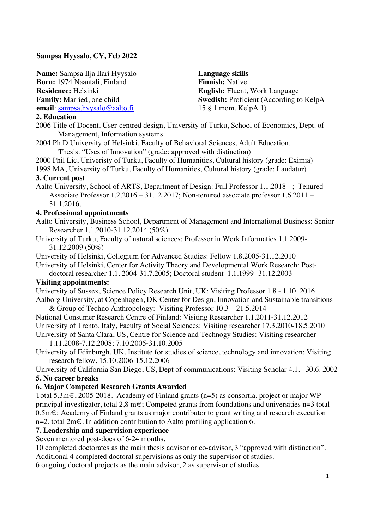## **Sampsa Hyysalo, CV, Feb 2022**

**Name:** Sampsa Ilja Ilari Hyysalo **Born:** 1974 Naantali, Finland **Residence:** Helsinki

**Family:** Married, one child

**email**: sampsa.hyysalo@aalto.fi

**Language skills Finnish:** Native **English:** Fluent, Work Language **Swedish:** Proficient (According to KelpA 15 § 1 mom, KelpA 1)

### **2. Education**

2006 Title of Docent. User-centred design, University of Turku, School of Economics, Dept. of Management, Information systems

2004 Ph.D University of Helsinki, Faculty of Behavioral Sciences, Adult Education. Thesis: "Uses of Innovation" (grade: approved with distinction)

2000 Phil Lic, Univeristy of Turku, Faculty of Humanities, Cultural history (grade: Eximia)

1998 MA, University of Turku, Faculty of Humanities, Cultural history (grade: Laudatur) **3. Current post**

Aalto University, School of ARTS, Department of Design: Full Professor 1.1.2018 - ; Tenured Associate Professor 1.2.2016 – 31.12.2017; Non-tenured associate professor 1.6.2011 – 31.1.2016.

#### **4. Professional appointments**

Aalto University, Business School, Department of Management and International Business: Senior Researcher 1.1.2010-31.12.2014 (50%)

University of Turku, Faculty of natural sciences: Professor in Work Informatics 1.1.2009- 31.12.2009 (50%)

University of Helsinki, Collegium for Advanced Studies: Fellow 1.8.2005-31.12.2010

University of Helsinki, Center for Activity Theory and Developmental Work Research: Post-

doctoral researcher 1.1. 2004-31.7.2005; Doctoral student 1.1.1999- 31.12.2003

### **Visiting appointments:**

University of Sussex, Science Policy Research Unit, UK: Visiting Professor 1.8 - 1.10. 2016 Aalborg University, at Copenhagen, DK Center for Design, Innovation and Sustainable transitions

& Group of Techno Anthropology: Visiting Professor 10.3 – 21.5.2014 National Consumer Research Centre of Finland: Visiting Researcher 1.1.2011-31.12.2012 University of Trento, Italy, Faculty of Social Sciences: Visiting researcher 17.3.2010-18.5.2010 University of Santa Clara, US, Centre for Science and Technogy Studies: Visiting researcher

1.11.2008-7.12.2008; 7.10.2005-31.10.2005

University of Edinburgh, UK, Institute for studies of science, technology and innovation: Visiting research fellow, 15.10.2006-15.12.2006

University of California San Diego, US, Dept of communications: Visiting Scholar 4.1.– 30.6. 2002 **5. No career breaks** 

#### **6. Major Competed Research Grants Awarded**

Total 5,3m€, 2005-2018. Academy of Finland grants (n=5) as consortia, project or major WP principal investigator, total 2,8 m€; Competed grants from foundations and universities n=3 total 0,5m€; Academy of Finland grants as major contributor to grant writing and research execution n=2, total 2m€. In addition contribution to Aalto profiling application 6.

### **7. Leadership and supervision experience**

Seven mentored post-docs of 6-24 months.

10 completed doctorates as the main thesis advisor or co-advisor, 3 "approved with distinction". Additional 4 completed doctoral supervisions as only the supervisor of studies.

6 ongoing doctoral projects as the main advisor, 2 as supervisor of studies.